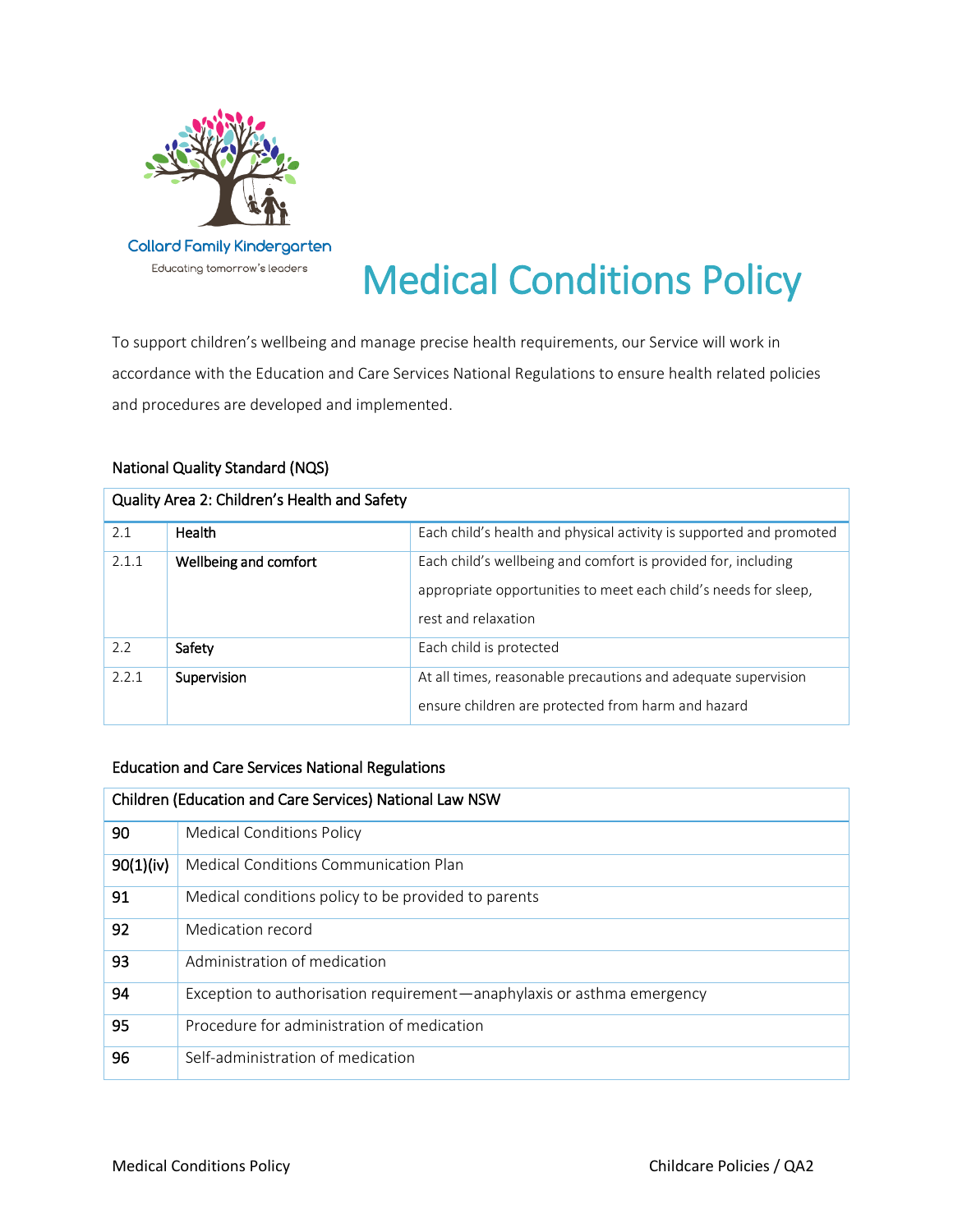

# Medical Conditions Policy

To support children's wellbeing and manage precise health requirements, our Service will work in accordance with the Education and Care Services National Regulations to ensure health related policies and procedures are developed and implemented.

# National Quality Standard (NQS)

| Quality Area 2: Children's Health and Safety |                       |                                                                                                                                                         |  |
|----------------------------------------------|-----------------------|---------------------------------------------------------------------------------------------------------------------------------------------------------|--|
| 2.1                                          | Health                | Each child's health and physical activity is supported and promoted                                                                                     |  |
| 2.1.1                                        | Wellbeing and comfort | Each child's wellbeing and comfort is provided for, including<br>appropriate opportunities to meet each child's needs for sleep,<br>rest and relaxation |  |
| 2.2                                          | Safety                | Each child is protected                                                                                                                                 |  |
| 2.2.1                                        | Supervision           | At all times, reasonable precautions and adequate supervision<br>ensure children are protected from harm and hazard                                     |  |

## Education and Care Services National Regulations

| Children (Education and Care Services) National Law NSW |                                                                        |  |
|---------------------------------------------------------|------------------------------------------------------------------------|--|
| 90                                                      | <b>Medical Conditions Policy</b>                                       |  |
| 90(1)(iv)                                               | Medical Conditions Communication Plan                                  |  |
| 91                                                      | Medical conditions policy to be provided to parents                    |  |
| 92                                                      | Medication record                                                      |  |
| 93                                                      | Administration of medication                                           |  |
| 94                                                      | Exception to authorisation requirement—anaphylaxis or asthma emergency |  |
| 95                                                      | Procedure for administration of medication                             |  |
| 96                                                      | Self-administration of medication                                      |  |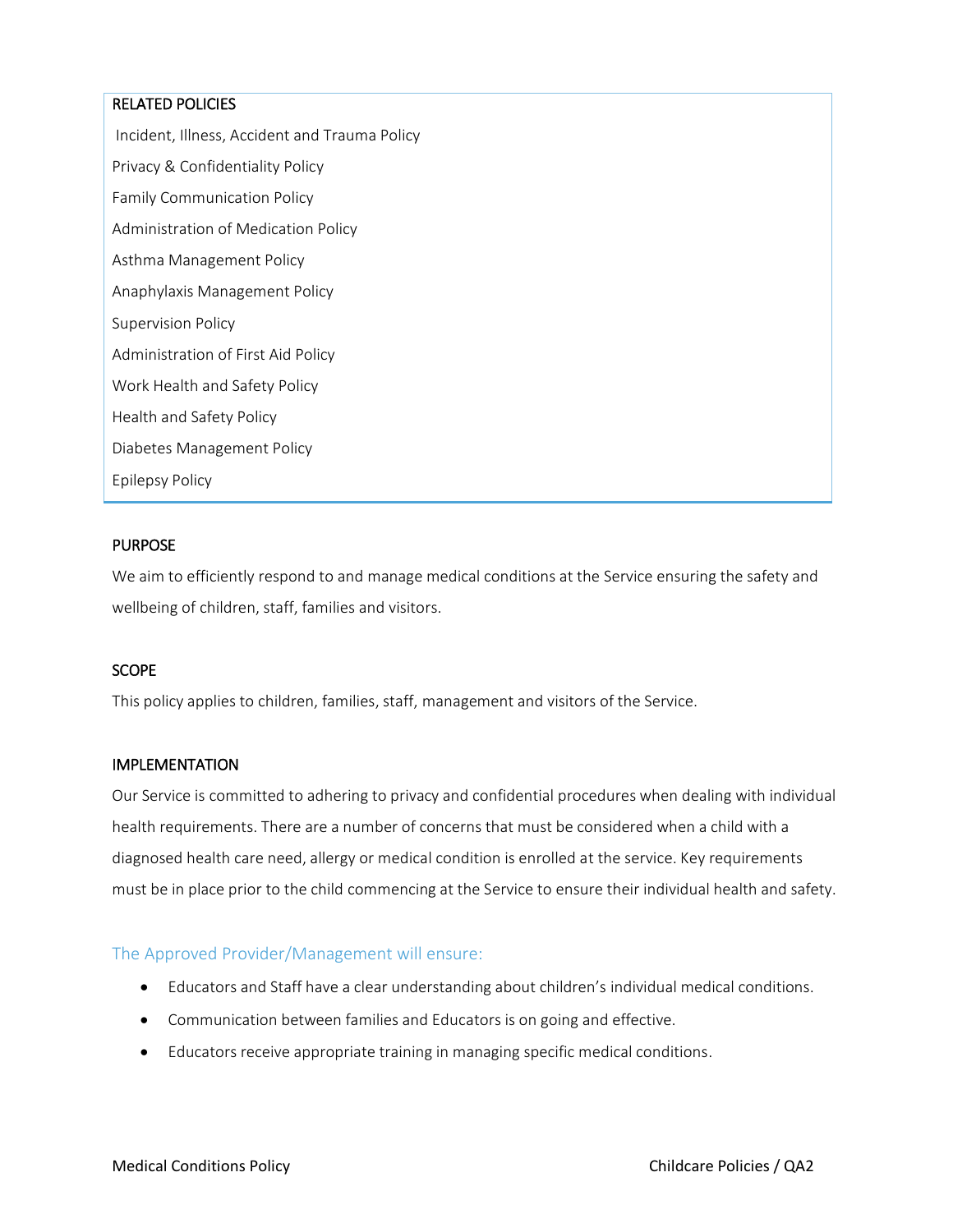### RELATED POLICIES

Incident, Illness, Accident and Trauma Policy Privacy & Confidentiality Policy Family Communication Policy Administration of Medication Policy Asthma Management Policy Anaphylaxis Management Policy Supervision Policy Administration of First Aid Policy Work Health and Safety Policy Health and Safety Policy Diabetes Management Policy Epilepsy Policy

#### **PURPOSE**

We aim to efficiently respond to and manage medical conditions at the Service ensuring the safety and wellbeing of children, staff, families and visitors.

### **SCOPE**

This policy applies to children, families, staff, management and visitors of the Service.

#### IMPLEMENTATION

Our Service is committed to adhering to privacy and confidential procedures when dealing with individual health requirements. There are a number of concerns that must be considered when a child with a diagnosed health care need, allergy or medical condition is enrolled at the service. Key requirements must be in place prior to the child commencing at the Service to ensure their individual health and safety.

### The Approved Provider/Management will ensure:

- Educators and Staff have a clear understanding about children's individual medical conditions.
- Communication between families and Educators is on going and effective.
- Educators receive appropriate training in managing specific medical conditions.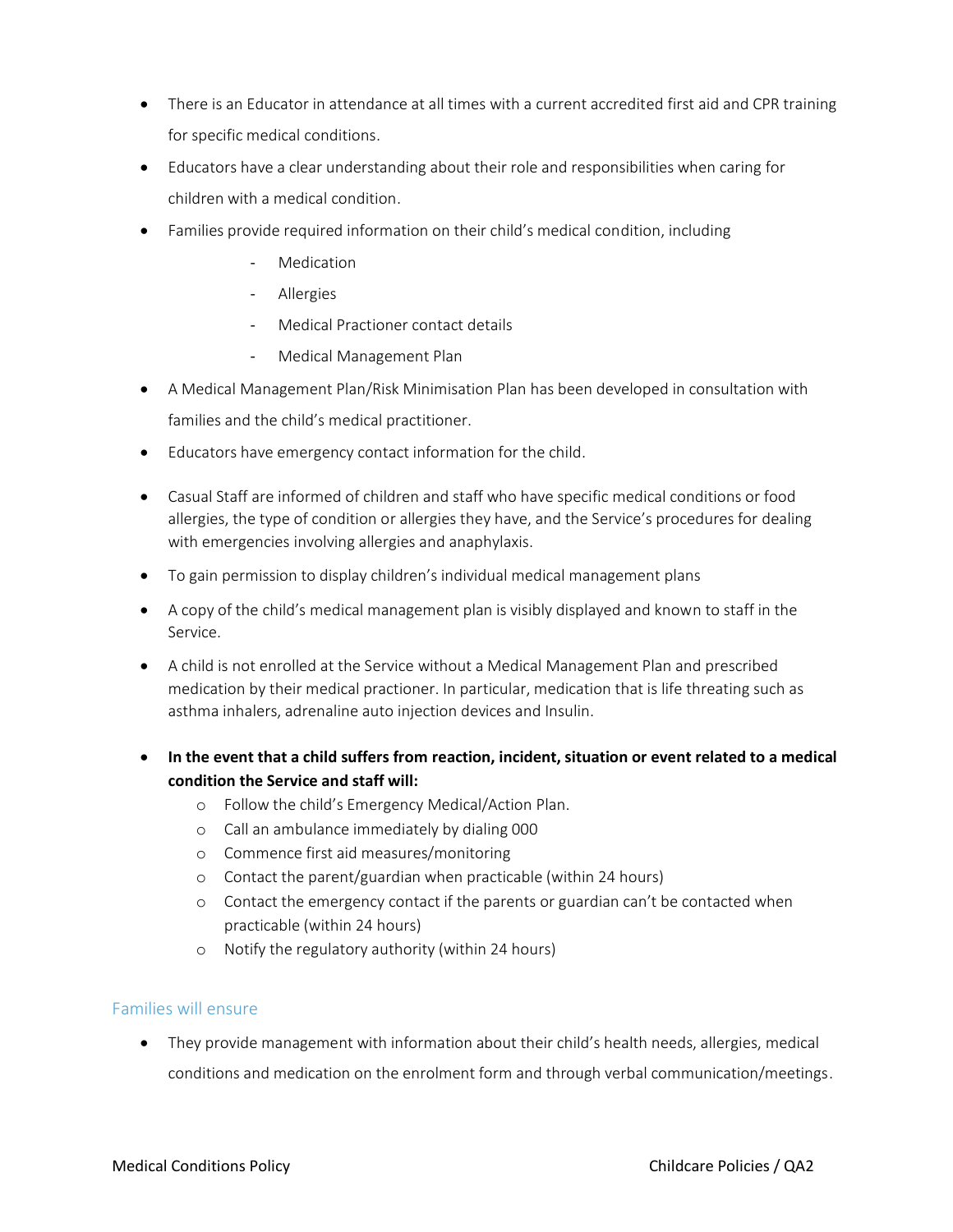- There is an Educator in attendance at all times with a current accredited first aid and CPR training for specific medical conditions.
- Educators have a clear understanding about their role and responsibilities when caring for children with a medical condition.
- Families provide required information on their child's medical condition, including
	- Medication
	- Allergies
	- Medical Practioner contact details
	- Medical Management Plan
- A Medical Management Plan/Risk Minimisation Plan has been developed in consultation with families and the child's medical practitioner.
- Educators have emergency contact information for the child.
- Casual Staff are informed of children and staff who have specific medical conditions or food allergies, the type of condition or allergies they have, and the Service's procedures for dealing with emergencies involving allergies and anaphylaxis.
- To gain permission to display children's individual medical management plans
- A copy of the child's medical management plan is visibly displayed and known to staff in the Service.
- A child is not enrolled at the Service without a Medical Management Plan and prescribed medication by their medical practioner. In particular, medication that is life threating such as asthma inhalers, adrenaline auto injection devices and Insulin.
- **In the event that a child suffers from reaction, incident, situation or event related to a medical condition the Service and staff will:**
	- o Follow the child's Emergency Medical/Action Plan.
	- o Call an ambulance immediately by dialing 000
	- o Commence first aid measures/monitoring
	- o Contact the parent/guardian when practicable (within 24 hours)
	- o Contact the emergency contact if the parents or guardian can't be contacted when practicable (within 24 hours)
	- o Notify the regulatory authority (within 24 hours)

### Families will ensure

 They provide management with information about their child's health needs, allergies, medical conditions and medication on the enrolment form and through verbal communication/meetings.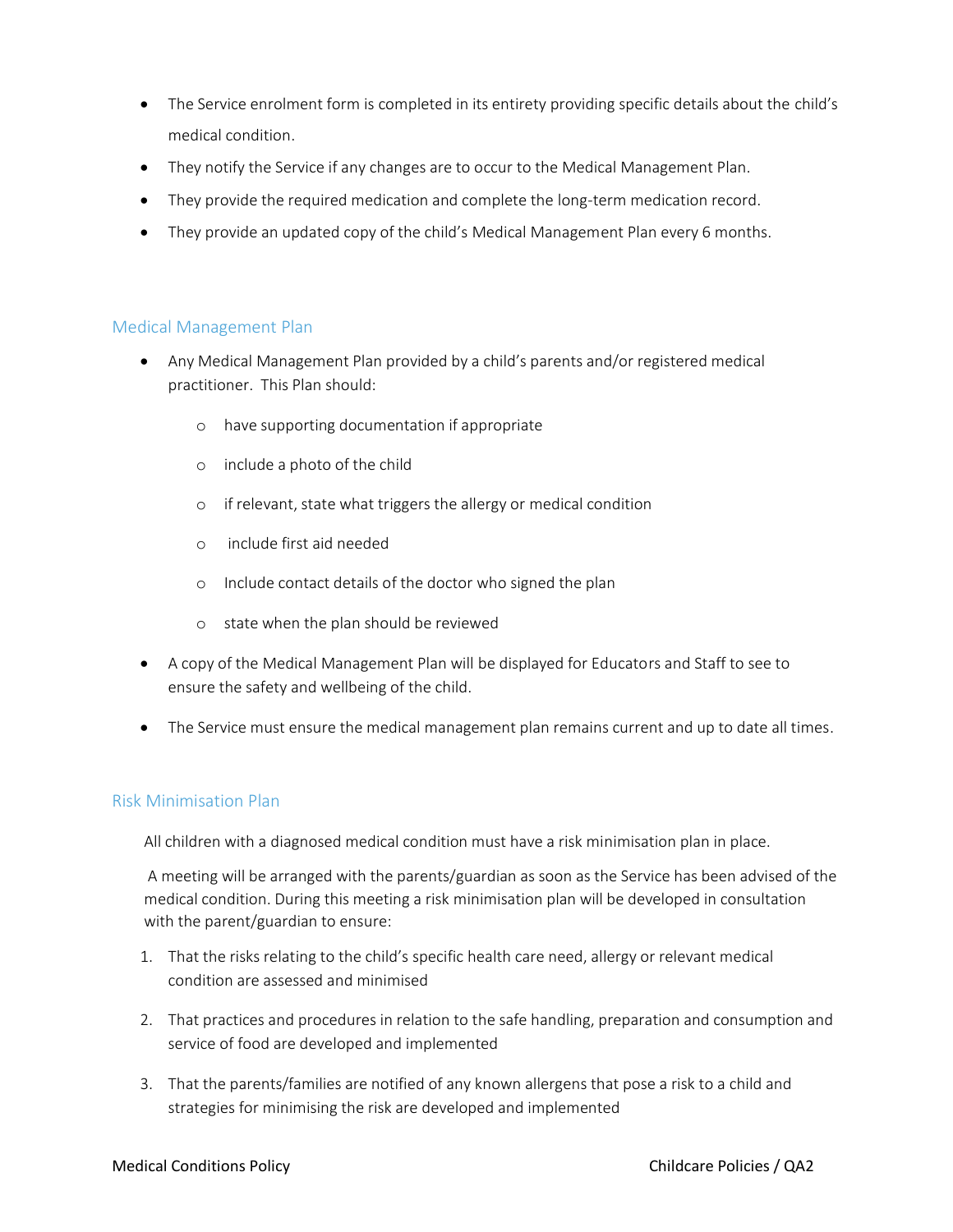- The Service enrolment form is completed in its entirety providing specific details about the child's medical condition.
- They notify the Service if any changes are to occur to the Medical Management Plan.
- They provide the required medication and complete the long-term medication record.
- They provide an updated copy of the child's Medical Management Plan every 6 months.

### Medical Management Plan

- Any Medical Management Plan provided by a child's parents and/or registered medical practitioner. This Plan should:
	- o have supporting documentation if appropriate
	- o include a photo of the child
	- o if relevant, state what triggers the allergy or medical condition
	- o include first aid needed
	- o Include contact details of the doctor who signed the plan
	- o state when the plan should be reviewed
- A copy of the Medical Management Plan will be displayed for Educators and Staff to see to ensure the safety and wellbeing of the child.
- The Service must ensure the medical management plan remains current and up to date all times.

### Risk Minimisation Plan

All children with a diagnosed medical condition must have a risk minimisation plan in place.

A meeting will be arranged with the parents/guardian as soon as the Service has been advised of the medical condition. During this meeting a risk minimisation plan will be developed in consultation with the parent/guardian to ensure:

- 1. That the risks relating to the child's specific health care need, allergy or relevant medical condition are assessed and minimised
- 2. That practices and procedures in relation to the safe handling, preparation and consumption and service of food are developed and implemented
- 3. That the parents/families are notified of any known allergens that pose a risk to a child and strategies for minimising the risk are developed and implemented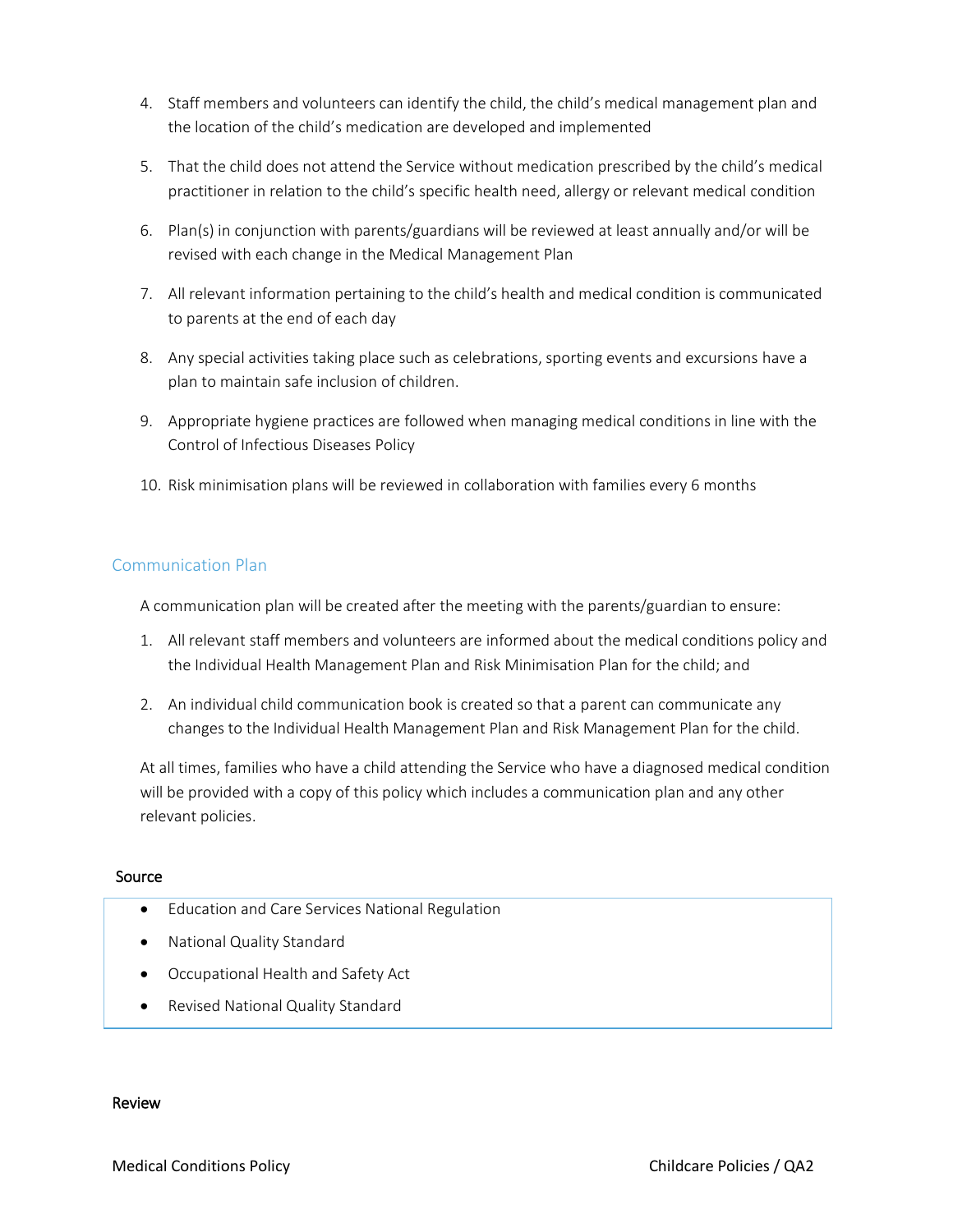- 4. Staff members and volunteers can identify the child, the child's medical management plan and the location of the child's medication are developed and implemented
- 5. That the child does not attend the Service without medication prescribed by the child's medical practitioner in relation to the child's specific health need, allergy or relevant medical condition
- 6. Plan(s) in conjunction with parents/guardians will be reviewed at least annually and/or will be revised with each change in the Medical Management Plan
- 7. All relevant information pertaining to the child's health and medical condition is communicated to parents at the end of each day
- 8. Any special activities taking place such as celebrations, sporting events and excursions have a plan to maintain safe inclusion of children.
- 9. Appropriate hygiene practices are followed when managing medical conditions in line with the Control of Infectious Diseases Policy
- 10. Risk minimisation plans will be reviewed in collaboration with families every 6 months

# Communication Plan

A communication plan will be created after the meeting with the parents/guardian to ensure:

- 1. All relevant staff members and volunteers are informed about the medical conditions policy and the Individual Health Management Plan and Risk Minimisation Plan for the child; and
- 2. An individual child communication book is created so that a parent can communicate any changes to the Individual Health Management Plan and Risk Management Plan for the child.

At all times, families who have a child attending the Service who have a diagnosed medical condition will be provided with a copy of this policy which includes a communication plan and any other relevant policies.

### Source

- Education and Care Services National Regulation
- National Quality Standard
- Occupational Health and Safety Act
- Revised National Quality Standard

#### Review